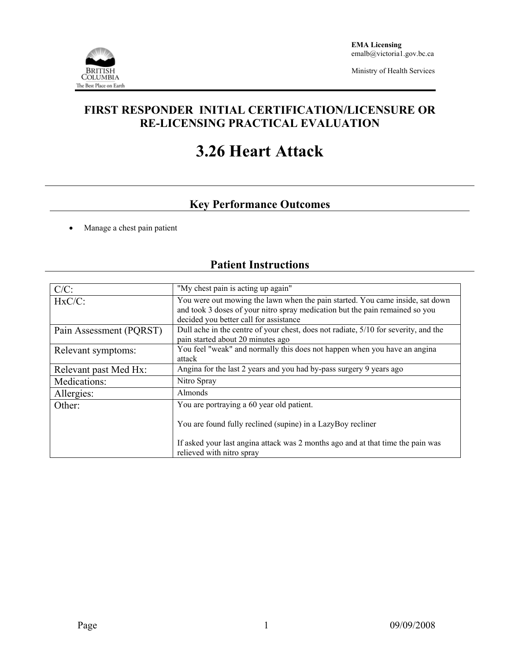

Ministry of Health Services

## **FIRST RESPONDER INITIAL CERTIFICATION/LICENSURE OR RE-LICENSING PRACTICAL EVALUATION**

# **3.26 Heart Attack**

## **Key Performance Outcomes**

Manage a chest pain patient

#### C/C: "My chest pain is acting up again" HxC/C: You were out mowing the lawn when the pain started. You came inside, sat down and took 3 doses of your nitro spray medication but the pain remained so you decided you better call for assistance Pain Assessment (PQRST) Dull ache in the centre of your chest, does not radiate, 5/10 for severity, and the pain started about 20 minutes ago Relevant symptoms: You feel "weak" and normally this does not happen when you have an angina attack Relevant past Med Hx: Angina for the last 2 years and you had by-pass surgery 9 years ago Medications: Nitro Spray Allergies: Almonds Other: You are portraying a 60 year old patient. You are found fully reclined (supine) in a LazyBoy recliner If asked your last angina attack was 2 months ago and at that time the pain was relieved with nitro spray

### **Patient Instructions**